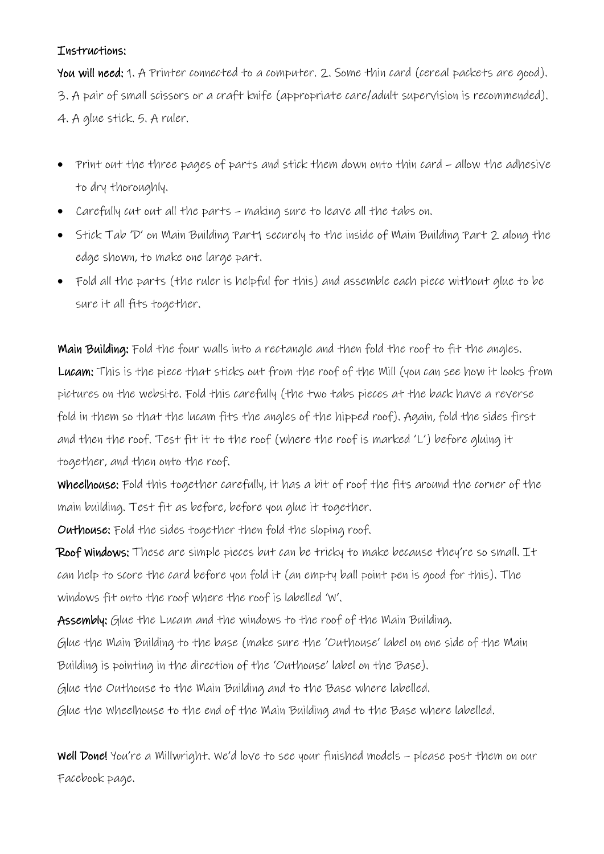## Instructions:

You will need: 1. A Printer connected to a computer. 2. Some thin card (cereal packets are good). 3. A pair of small scissors or a craft knife (appropriate care/adult supervision is recommended). 4. A glue stick. 5. A ruler.

- Print out the three pages of parts and stick them down onto thin card allow the adhesive to dry thoroughly.
- Carefully cut out all the parts making sure to leave all the tabs on.
- Stick Tab 'D' on Main Building Part1 securely to the inside of Main Building Part 2 along the edge shown, to make one large part.
- Fold all the parts (the ruler is helpful for this) and assemble each piece without glue to be sure it all fits together.

Main Building: Fold the four walls into a rectangle and then fold the roof to fit the angles. Lucam: This is the piece that sticks out from the roof of the Mill (you can see how it looks from pictures on the website. Fold this carefully (the two tabs pieces at the back have a reverse fold in them so that the lucam fits the angles of the hipped roof). Again, fold the sides first and then the roof. Test fit it to the roof (where the roof is marked 'L') before gluing it together, and then onto the roof.

Wheelhouse: Fold this together carefully, it has a bit of roof the fits around the corner of the main building. Test fit as before, before you glue it together.

Outhouse: Fold the sides together then fold the sloping roof.

Roof Windows: These are simple pieces but can be tricky to make because they're so small. It can help to score the card before you fold it (an empty ball point pen is good for this). The windows fit onto the roof where the roof is labelled 'W'.

Assembly: Glue the Lucam and the windows to the roof of the Main Building.

Glue the Main Building to the base (make sure the 'Outhouse' label on one side of the Main Building is pointing in the direction of the 'Outhouse' label on the Base).

Glue the Outhouse to the Main Building and to the Base where labelled.

Glue the Wheelhouse to the end of the Main Building and to the Base where labelled.

Well Done! You're a Millwright. We'd love to see your finished models – please post them on our Facebook page.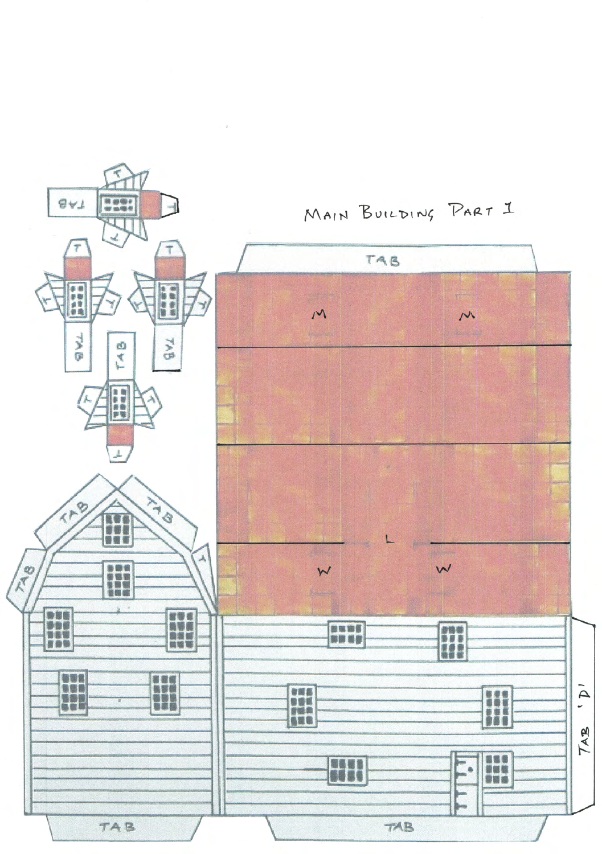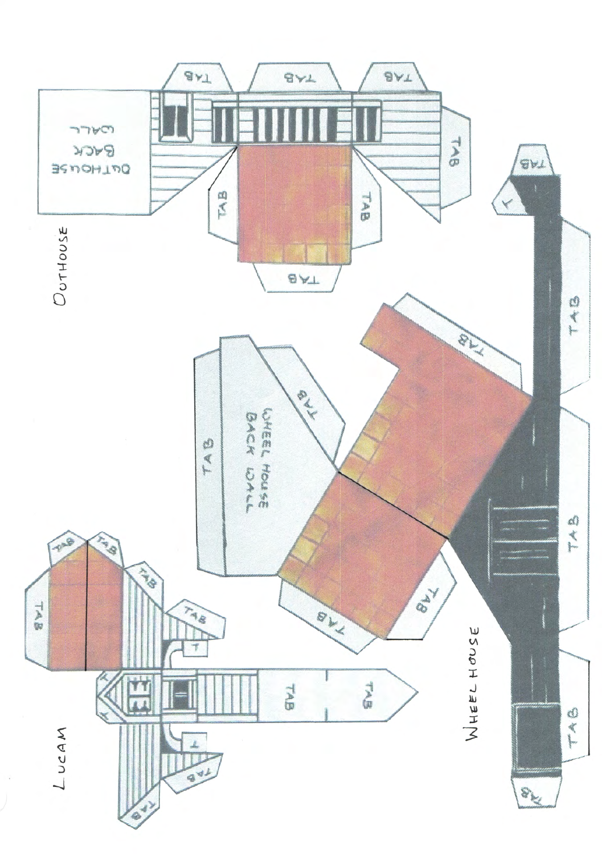